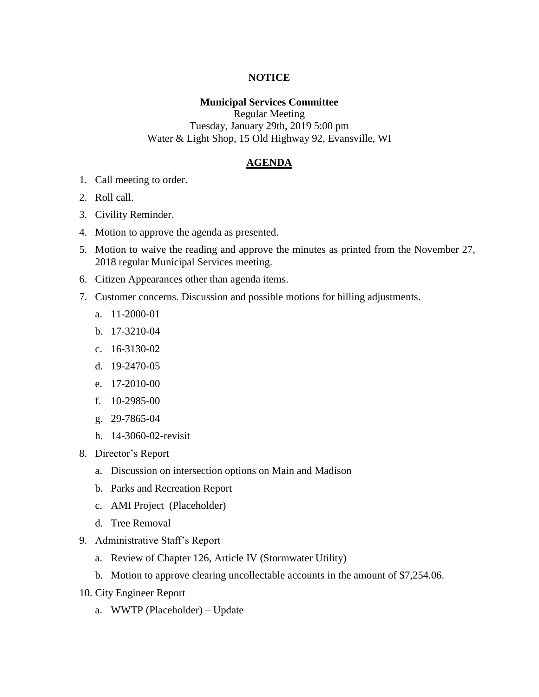## **NOTICE**

## **Municipal Services Committee**

Regular Meeting Tuesday, January 29th, 2019 5:00 pm Water & Light Shop, 15 Old Highway 92, Evansville, WI

## **AGENDA**

- 1. Call meeting to order.
- 2. Roll call.
- 3. Civility Reminder.
- 4. Motion to approve the agenda as presented.
- 5. Motion to waive the reading and approve the minutes as printed from the November 27, 2018 regular Municipal Services meeting.
- 6. Citizen Appearances other than agenda items.
- 7. Customer concerns. Discussion and possible motions for billing adjustments.
	- a. 11-2000-01
	- b. 17-3210-04
	- c. 16-3130-02
	- d. 19-2470-05
	- e. 17-2010-00
	- f. 10-2985-00
	- g. 29-7865-04
	- h. 14-3060-02-revisit
- 8. Director's Report
	- a. Discussion on intersection options on Main and Madison
	- b. Parks and Recreation Report
	- c. AMI Project (Placeholder)
	- d. Tree Removal
- 9. Administrative Staff's Report
	- a. Review of Chapter 126, Article IV (Stormwater Utility)
	- b. Motion to approve clearing uncollectable accounts in the amount of \$7,254.06.
- 10. City Engineer Report
	- a. WWTP (Placeholder) Update